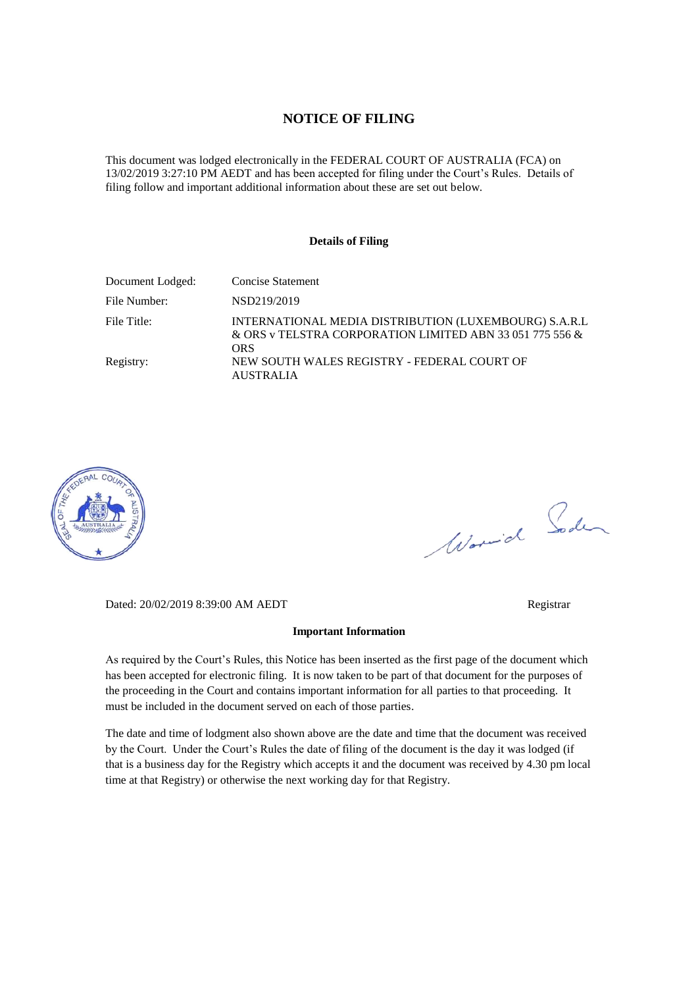#### **NOTICE OF FILING**

This document was lodged electronically in the FEDERAL COURT OF AUSTRALIA (FCA) on 13/02/2019 3:27:10 PM AEDT and has been accepted for filing under the Court's Rules. Details of filing follow and important additional information about these are set out below.

#### **Details of Filing**

| Document Lodged: | <b>Concise Statement</b>                                                                                                 |
|------------------|--------------------------------------------------------------------------------------------------------------------------|
| File Number:     | NSD219/2019                                                                                                              |
| File Title:      | INTERNATIONAL MEDIA DISTRIBUTION (LUXEMBOURG) S.A.R.L<br>& ORS v TELSTRA CORPORATION LIMITED ABN 33 051 775 556 &<br>ORS |
| Registry:        | NEW SOUTH WALES REGISTRY - FEDERAL COURT OF<br><b>AUSTRALIA</b>                                                          |



Worwich Soden

Dated: 20/02/2019 8:39:00 AM AEDT Registrar

#### **Important Information**

As required by the Court's Rules, this Notice has been inserted as the first page of the document which has been accepted for electronic filing. It is now taken to be part of that document for the purposes of the proceeding in the Court and contains important information for all parties to that proceeding. It must be included in the document served on each of those parties.

The date and time of lodgment also shown above are the date and time that the document was received by the Court. Under the Court's Rules the date of filing of the document is the day it was lodged (if that is a business day for the Registry which accepts it and the document was received by 4.30 pm local time at that Registry) or otherwise the next working day for that Registry.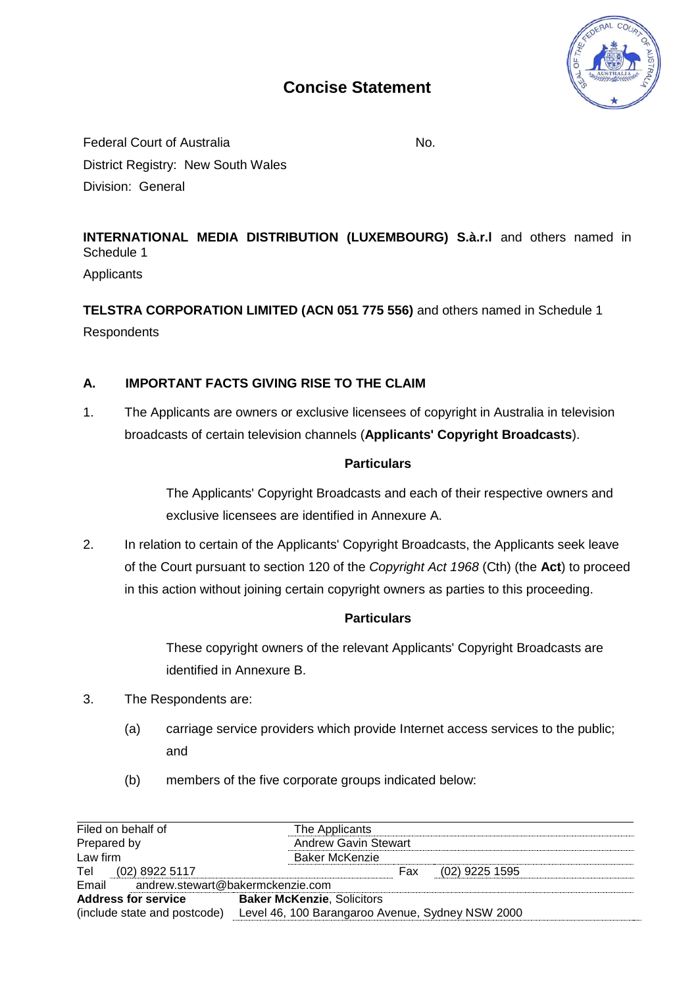

# **Concise Statement**

Federal Court of Australia No. No. District Registry: New South Wales Division: General

**INTERNATIONAL MEDIA DISTRIBUTION (LUXEMBOURG) S.à.r.l** and others named in Schedule 1

**Applicants** 

**TELSTRA CORPORATION LIMITED (ACN 051 775 556)** and others named in Schedule 1 **Respondents** 

## **A. IMPORTANT FACTS GIVING RISE TO THE CLAIM**

1. The Applicants are owners or exclusive licensees of copyright in Australia in television broadcasts of certain television channels (**Applicants' Copyright Broadcasts**).

### **Particulars**

The Applicants' Copyright Broadcasts and each of their respective owners and exclusive licensees are identified in Annexure A.

2. In relation to certain of the Applicants' Copyright Broadcasts, the Applicants seek leave of the Court pursuant to section 120 of the *Copyright Act 1968* (Cth) (the **Act**) to proceed in this action without joining certain copyright owners as parties to this proceeding.

### **Particulars**

These copyright owners of the relevant Applicants' Copyright Broadcasts are identified in Annexure B.

- 3. The Respondents are:
	- (a) carriage service providers which provide Internet access services to the public; and
	- (b) members of the five corporate groups indicated below:

| Filed on behalf of                        | The Applicants                                   |  |
|-------------------------------------------|--------------------------------------------------|--|
| Prepared by                               | <b>Andrew Gavin Stewart</b>                      |  |
| Law firm                                  | <b>Baker McKenzie</b>                            |  |
| $(02)$ 8922 5117<br>Tel                   | $(02)$ 9225 1595<br>Fax                          |  |
| Email<br>andrew.stewart@bakermckenzie.com |                                                  |  |
| <b>Address for service</b>                | <b>Baker McKenzie, Solicitors</b>                |  |
| (include state and postcode)              | Level 46, 100 Barangaroo Avenue, Sydney NSW 2000 |  |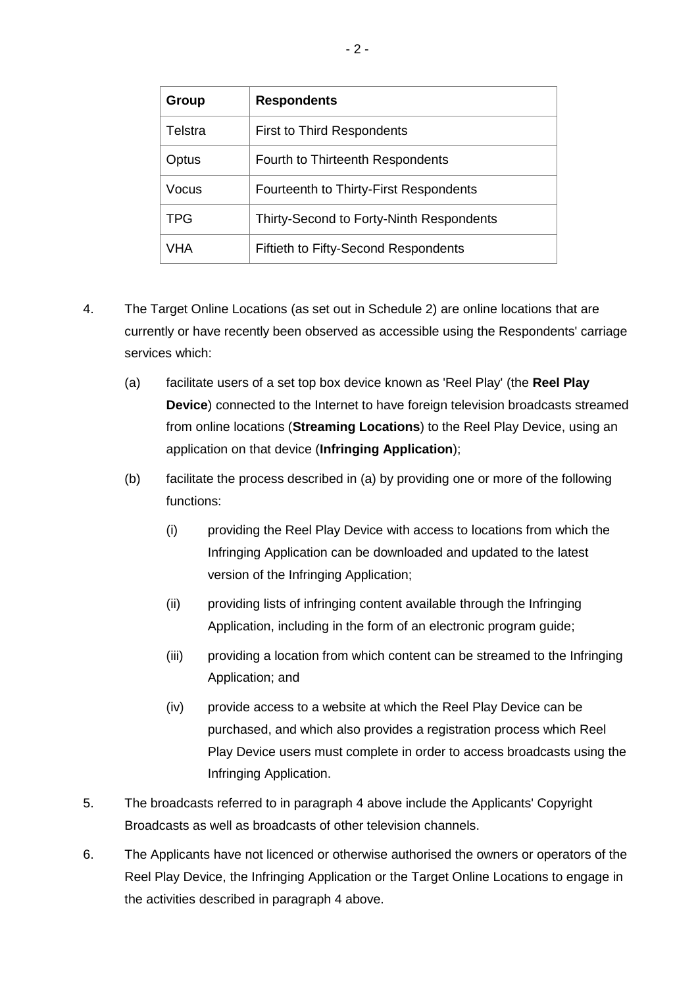| Group      | <b>Respondents</b>                       |
|------------|------------------------------------------|
| Telstra    | <b>First to Third Respondents</b>        |
| Optus      | Fourth to Thirteenth Respondents         |
| Vocus      | Fourteenth to Thirty-First Respondents   |
| <b>TPG</b> | Thirty-Second to Forty-Ninth Respondents |
| VHA        | Fiftieth to Fifty-Second Respondents     |

- 4. The Target Online Locations (as set out in Schedule 2) are online locations that are currently or have recently been observed as accessible using the Respondents' carriage services which:
	- (a) facilitate users of a set top box device known as 'Reel Play' (the **Reel Play Device**) connected to the Internet to have foreign television broadcasts streamed from online locations (**Streaming Locations**) to the Reel Play Device, using an application on that device (**Infringing Application**);
	- (b) facilitate the process described in (a) by providing one or more of the following functions:
		- (i) providing the Reel Play Device with access to locations from which the Infringing Application can be downloaded and updated to the latest version of the Infringing Application;
		- (ii) providing lists of infringing content available through the Infringing Application, including in the form of an electronic program guide;
		- (iii) providing a location from which content can be streamed to the Infringing Application; and
		- (iv) provide access to a website at which the Reel Play Device can be purchased, and which also provides a registration process which Reel Play Device users must complete in order to access broadcasts using the Infringing Application.
- 5. The broadcasts referred to in paragraph 4 above include the Applicants' Copyright Broadcasts as well as broadcasts of other television channels.
- 6. The Applicants have not licenced or otherwise authorised the owners or operators of the Reel Play Device, the Infringing Application or the Target Online Locations to engage in the activities described in paragraph 4 above.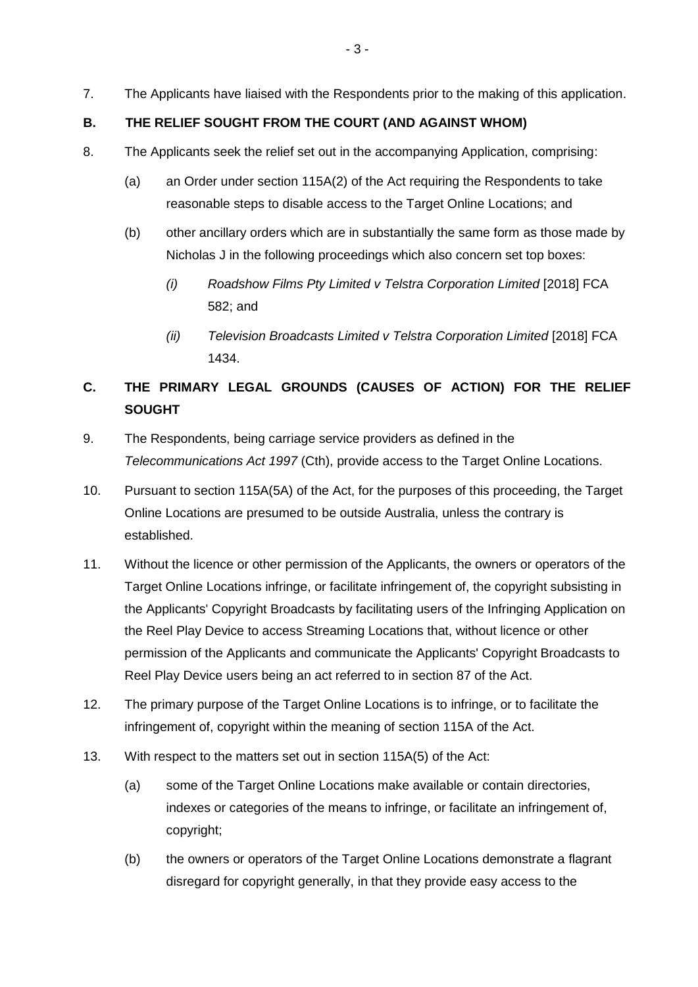7. The Applicants have liaised with the Respondents prior to the making of this application.

#### **B. THE RELIEF SOUGHT FROM THE COURT (AND AGAINST WHOM)**

- 8. The Applicants seek the relief set out in the accompanying Application, comprising:
	- (a) an Order under section 115A(2) of the Act requiring the Respondents to take reasonable steps to disable access to the Target Online Locations; and
	- (b) other ancillary orders which are in substantially the same form as those made by Nicholas J in the following proceedings which also concern set top boxes:
		- *(i) Roadshow Films Pty Limited v Telstra Corporation Limited* [2018] FCA 582; and
		- *(ii) Television Broadcasts Limited v Telstra Corporation Limited* [2018] FCA 1434.

# **C. THE PRIMARY LEGAL GROUNDS (CAUSES OF ACTION) FOR THE RELIEF SOUGHT**

- 9. The Respondents, being carriage service providers as defined in the *Telecommunications Act 1997* (Cth), provide access to the Target Online Locations.
- 10. Pursuant to section 115A(5A) of the Act, for the purposes of this proceeding, the Target Online Locations are presumed to be outside Australia, unless the contrary is established.
- 11. Without the licence or other permission of the Applicants, the owners or operators of the Target Online Locations infringe, or facilitate infringement of, the copyright subsisting in the Applicants' Copyright Broadcasts by facilitating users of the Infringing Application on the Reel Play Device to access Streaming Locations that, without licence or other permission of the Applicants and communicate the Applicants' Copyright Broadcasts to Reel Play Device users being an act referred to in section 87 of the Act.
- 12. The primary purpose of the Target Online Locations is to infringe, or to facilitate the infringement of, copyright within the meaning of section 115A of the Act.
- 13. With respect to the matters set out in section 115A(5) of the Act:
	- (a) some of the Target Online Locations make available or contain directories, indexes or categories of the means to infringe, or facilitate an infringement of, copyright;
	- (b) the owners or operators of the Target Online Locations demonstrate a flagrant disregard for copyright generally, in that they provide easy access to the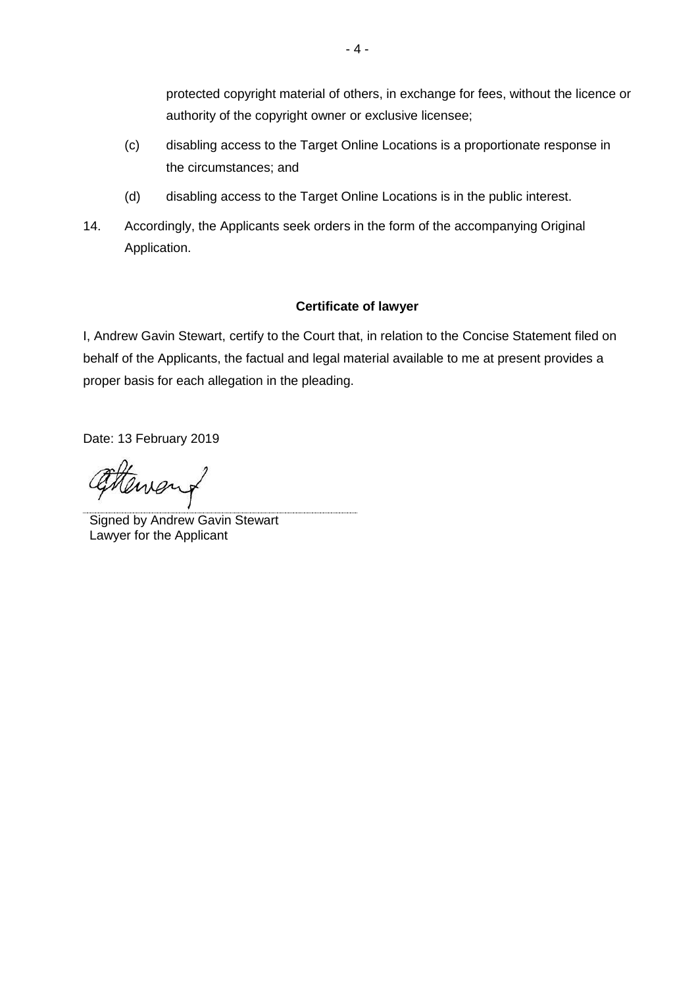protected copyright material of others, in exchange for fees, without the licence or authority of the copyright owner or exclusive licensee;

- (c) disabling access to the Target Online Locations is a proportionate response in the circumstances; and
- (d) disabling access to the Target Online Locations is in the public interest.
- 14. Accordingly, the Applicants seek orders in the form of the accompanying Original Application.

### **Certificate of lawyer**

I, Andrew Gavin Stewart, certify to the Court that, in relation to the Concise Statement filed on behalf of the Applicants, the factual and legal material available to me at present provides a proper basis for each allegation in the pleading.

Date: 13 February 2019

Menour

Signed by Andrew Gavin Stewart Lawyer for the Applicant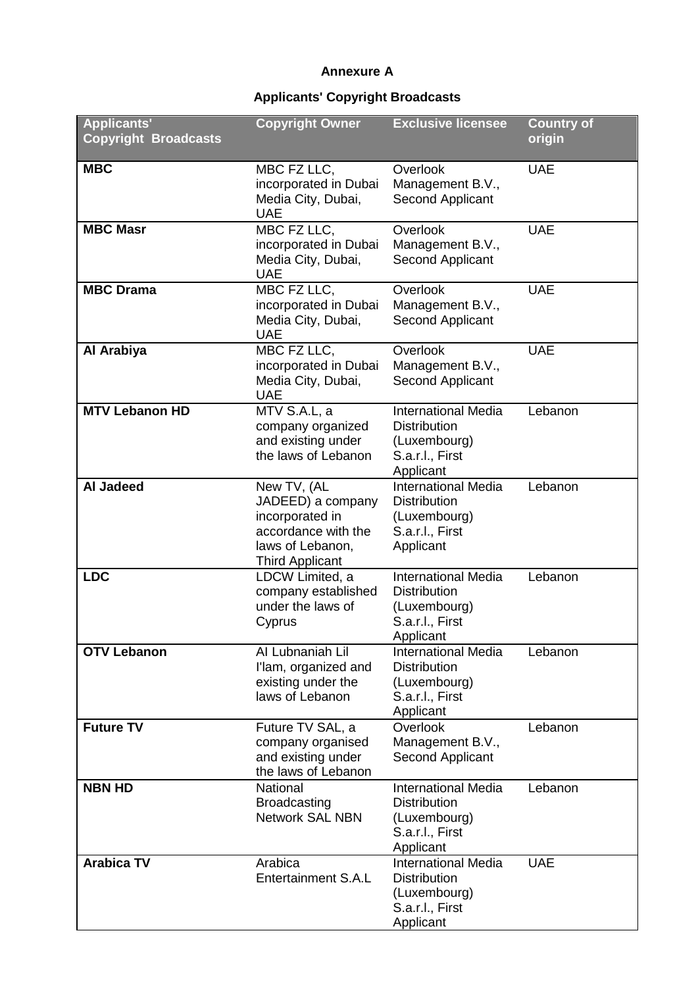### **Annexure A**

# **Applicants' Copyright Broadcasts**

| <b>Applicants'</b><br><b>Copyright Broadcasts</b> | <b>Copyright Owner</b>                                                                                                   | <b>Exclusive licensee</b>                                                                         | <b>Country of</b><br>origin |
|---------------------------------------------------|--------------------------------------------------------------------------------------------------------------------------|---------------------------------------------------------------------------------------------------|-----------------------------|
| <b>MBC</b>                                        | MBC FZ LLC,<br>incorporated in Dubai<br>Media City, Dubai,<br><b>UAE</b>                                                 | Overlook<br>Management B.V.,<br>Second Applicant                                                  | <b>UAE</b>                  |
| <b>MBC Masr</b>                                   | MBC FZ LLC,<br>incorporated in Dubai<br>Media City, Dubai,<br><b>UAE</b>                                                 | Overlook<br>Management B.V.,<br>Second Applicant                                                  | <b>UAE</b>                  |
| <b>MBC Drama</b>                                  | MBC FZ LLC,<br>incorporated in Dubai<br>Media City, Dubai,<br><b>UAE</b>                                                 | Overlook<br>Management B.V.,<br>Second Applicant                                                  | <b>UAE</b>                  |
| Al Arabiya                                        | MBC FZ LLC,<br>incorporated in Dubai<br>Media City, Dubai,<br><b>UAE</b>                                                 | Overlook<br>Management B.V.,<br>Second Applicant                                                  | <b>UAE</b>                  |
| <b>MTV Lebanon HD</b>                             | MTV S.A.L, a<br>company organized<br>and existing under<br>the laws of Lebanon                                           | <b>International Media</b><br><b>Distribution</b><br>(Luxembourg)<br>S.a.r.l., First<br>Applicant | Lebanon                     |
| <b>Al Jadeed</b>                                  | New TV, (AL<br>JADEED) a company<br>incorporated in<br>accordance with the<br>laws of Lebanon,<br><b>Third Applicant</b> | <b>International Media</b><br><b>Distribution</b><br>(Luxembourg)<br>S.a.r.l., First<br>Applicant | Lebanon                     |
| <b>LDC</b>                                        | LDCW Limited, a<br>company established<br>under the laws of<br>Cyprus                                                    | <b>International Media</b><br><b>Distribution</b><br>(Luxembourg)<br>S.a.r.l., First<br>Applicant | Lebanon                     |
| <b>OTV Lebanon</b>                                | Al Lubnaniah Lil<br>I'lam, organized and<br>existing under the<br>laws of Lebanon                                        | <b>International Media</b><br><b>Distribution</b><br>(Luxembourg)<br>S.a.r.l., First<br>Applicant | Lebanon                     |
| <b>Future TV</b>                                  | Future TV SAL, a<br>company organised<br>and existing under<br>the laws of Lebanon                                       | Overlook<br>Management B.V.,<br>Second Applicant                                                  | Lebanon                     |
| <b>NBN HD</b>                                     | <b>National</b><br><b>Broadcasting</b><br><b>Network SAL NBN</b>                                                         | <b>International Media</b><br><b>Distribution</b><br>(Luxembourg)<br>S.a.r.l., First<br>Applicant | Lebanon                     |
| <b>Arabica TV</b>                                 | Arabica<br><b>Entertainment S.A.L</b>                                                                                    | <b>International Media</b><br><b>Distribution</b><br>(Luxembourg)<br>S.a.r.l., First<br>Applicant | <b>UAE</b>                  |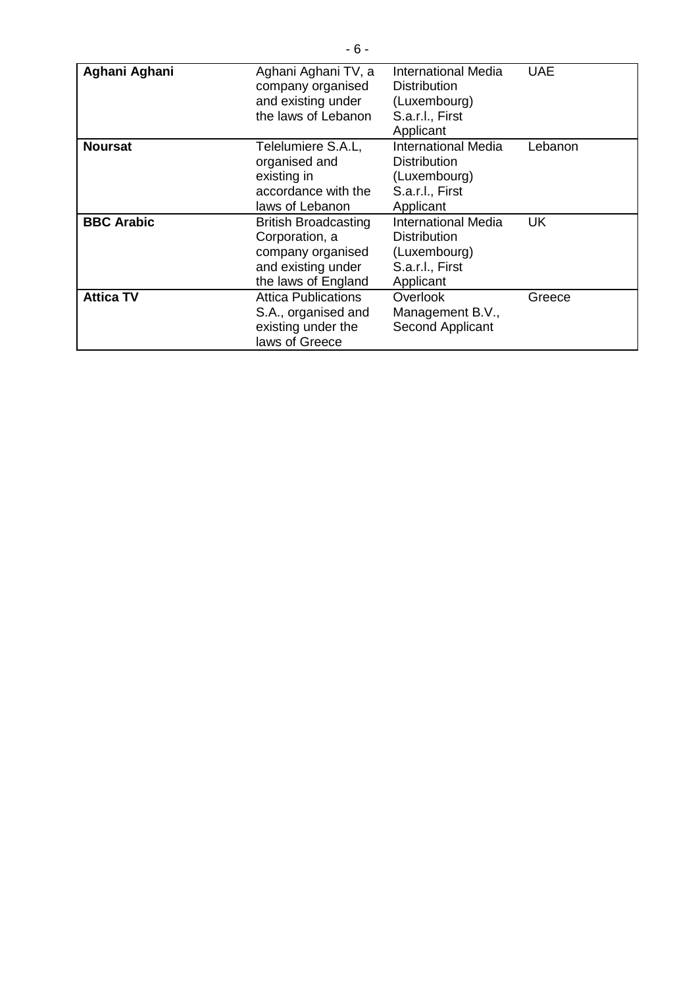| Aghani Aghani     | Aghani Aghani TV, a<br>company organised<br>and existing under<br>the laws of Lebanon                           | International Media<br><b>Distribution</b><br>(Luxembourg)<br>S.a.r.l., First<br>Applicant        | <b>UAE</b> |
|-------------------|-----------------------------------------------------------------------------------------------------------------|---------------------------------------------------------------------------------------------------|------------|
| <b>Noursat</b>    | Telelumiere S.A.L,<br>organised and<br>existing in<br>accordance with the<br>laws of Lebanon                    | <b>International Media</b><br><b>Distribution</b><br>(Luxembourg)<br>S.a.r.l., First<br>Applicant | Lebanon    |
| <b>BBC Arabic</b> | <b>British Broadcasting</b><br>Corporation, a<br>company organised<br>and existing under<br>the laws of England | <b>International Media</b><br><b>Distribution</b><br>(Luxembourg)<br>S.a.r.l., First<br>Applicant | UK         |
| <b>Attica TV</b>  | <b>Attica Publications</b><br>S.A., organised and<br>existing under the<br>laws of Greece                       | Overlook<br>Management B.V.,<br>Second Applicant                                                  | Greece     |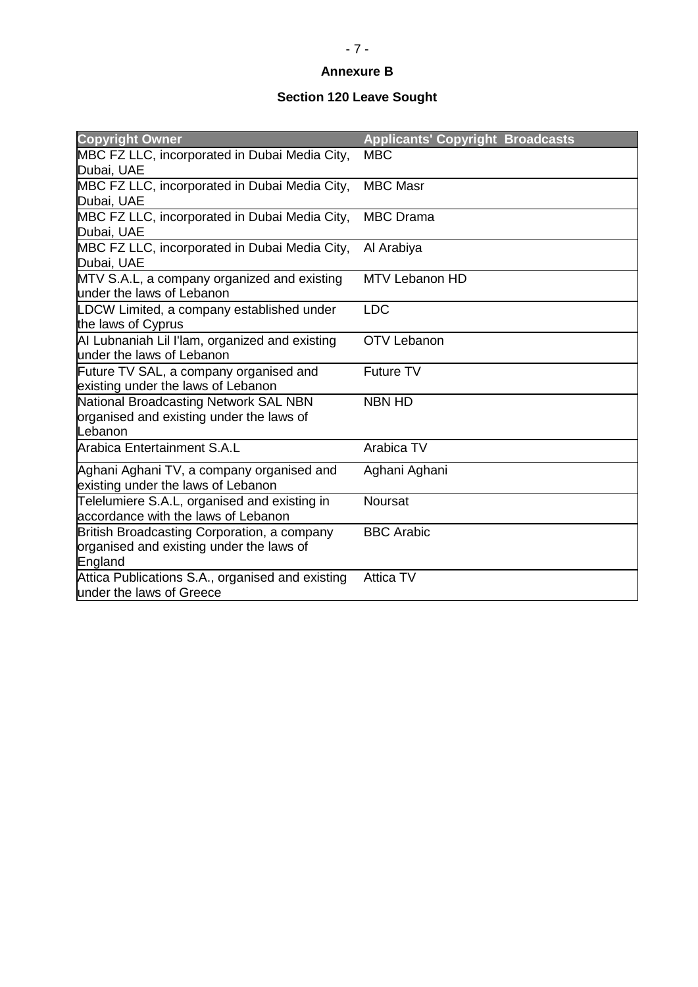## **Annexure B**

### **Section 120 Leave Sought**

| <b>Copyright Owner</b>                                                                             | <b>Applicants' Copyright Broadcasts</b> |
|----------------------------------------------------------------------------------------------------|-----------------------------------------|
| MBC FZ LLC, incorporated in Dubai Media City,<br>Dubai, UAE                                        | <b>MBC</b>                              |
| MBC FZ LLC, incorporated in Dubai Media City,<br>Dubai, UAE                                        | <b>MBC Masr</b>                         |
| MBC FZ LLC, incorporated in Dubai Media City,<br>Dubai, UAE                                        | <b>MBC</b> Drama                        |
| MBC FZ LLC, incorporated in Dubai Media City,<br>Dubai, UAE                                        | Al Arabiya                              |
| MTV S.A.L, a company organized and existing<br>under the laws of Lebanon                           | MTV Lebanon HD                          |
| LDCW Limited, a company established under<br>the laws of Cyprus                                    | <b>LDC</b>                              |
| AI Lubnaniah Lil I'lam, organized and existing<br>under the laws of Lebanon                        | <b>OTV Lebanon</b>                      |
| Future TV SAL, a company organised and<br>existing under the laws of Lebanon                       | <b>Future TV</b>                        |
| National Broadcasting Network SAL NBN<br>organised and existing under the laws of<br>Lebanon       | <b>NBN HD</b>                           |
| Arabica Entertainment S.A.L                                                                        | Arabica TV                              |
| Aghani Aghani TV, a company organised and<br>existing under the laws of Lebanon                    | Aghani Aghani                           |
| Telelumiere S.A.L, organised and existing in<br>laccordance with the laws of Lebanon               | <b>Noursat</b>                          |
| British Broadcasting Corporation, a company<br>organised and existing under the laws of<br>England | <b>BBC Arabic</b>                       |
| Attica Publications S.A., organised and existing<br>under the laws of Greece                       | <b>Attica TV</b>                        |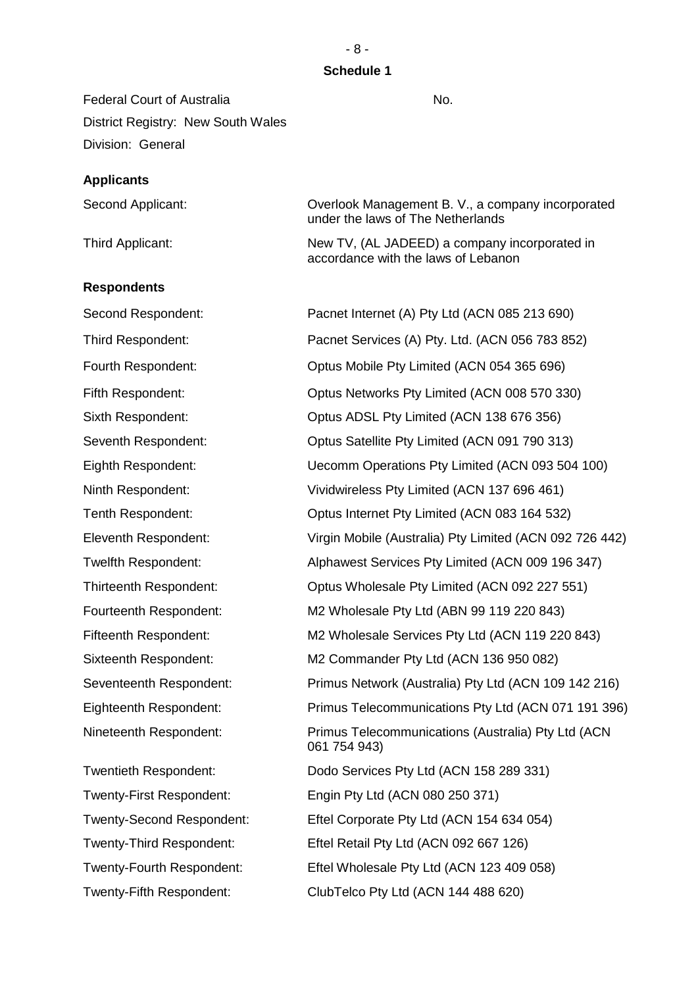### **Schedule 1**

Federal Court of Australia No. No. District Registry: New South Wales Division: General

#### **Applicants**

| Second Applicant: | Overlook Management B. V., a company incorporated<br>under the laws of The Netherlands |
|-------------------|----------------------------------------------------------------------------------------|
| Third Applicant:  | New TV, (AL JADEED) a company incorporated in<br>accordance with the laws of Lebanon   |

#### **Respondents**

Twenty-Fifth Respondent: ClubTelco Pty Ltd (ACN 144 488 620)

Second Respondent: Pacnet Internet (A) Pty Ltd (ACN 085 213 690) Third Respondent: Pacnet Services (A) Pty. Ltd. (ACN 056 783 852) Fourth Respondent: Optus Mobile Pty Limited (ACN 054 365 696) Fifth Respondent: Optus Networks Pty Limited (ACN 008 570 330) Sixth Respondent: Optus ADSL Pty Limited (ACN 138 676 356) Seventh Respondent: Optus Satellite Pty Limited (ACN 091 790 313) Eighth Respondent: Uecomm Operations Pty Limited (ACN 093 504 100) Ninth Respondent: Vividwireless Pty Limited (ACN 137 696 461) Tenth Respondent: Optus Internet Pty Limited (ACN 083 164 532) Eleventh Respondent: Virgin Mobile (Australia) Pty Limited (ACN 092 726 442) Twelfth Respondent: Alphawest Services Pty Limited (ACN 009 196 347) Thirteenth Respondent: Optus Wholesale Pty Limited (ACN 092 227 551) Fourteenth Respondent: M2 Wholesale Pty Ltd (ABN 99 119 220 843) Fifteenth Respondent: M2 Wholesale Services Pty Ltd (ACN 119 220 843) Sixteenth Respondent: M2 Commander Pty Ltd (ACN 136 950 082) Seventeenth Respondent: Primus Network (Australia) Pty Ltd (ACN 109 142 216) Eighteenth Respondent: Primus Telecommunications Pty Ltd (ACN 071 191 396) Nineteenth Respondent: Primus Telecommunications (Australia) Pty Ltd (ACN 061 754 943) Twentieth Respondent: Dodo Services Pty Ltd (ACN 158 289 331) Twenty-First Respondent: Engin Pty Ltd (ACN 080 250 371) Twenty-Second Respondent: Eftel Corporate Pty Ltd (ACN 154 634 054) Twenty-Third Respondent: Eftel Retail Pty Ltd (ACN 092 667 126) Twenty-Fourth Respondent: Eftel Wholesale Pty Ltd (ACN 123 409 058)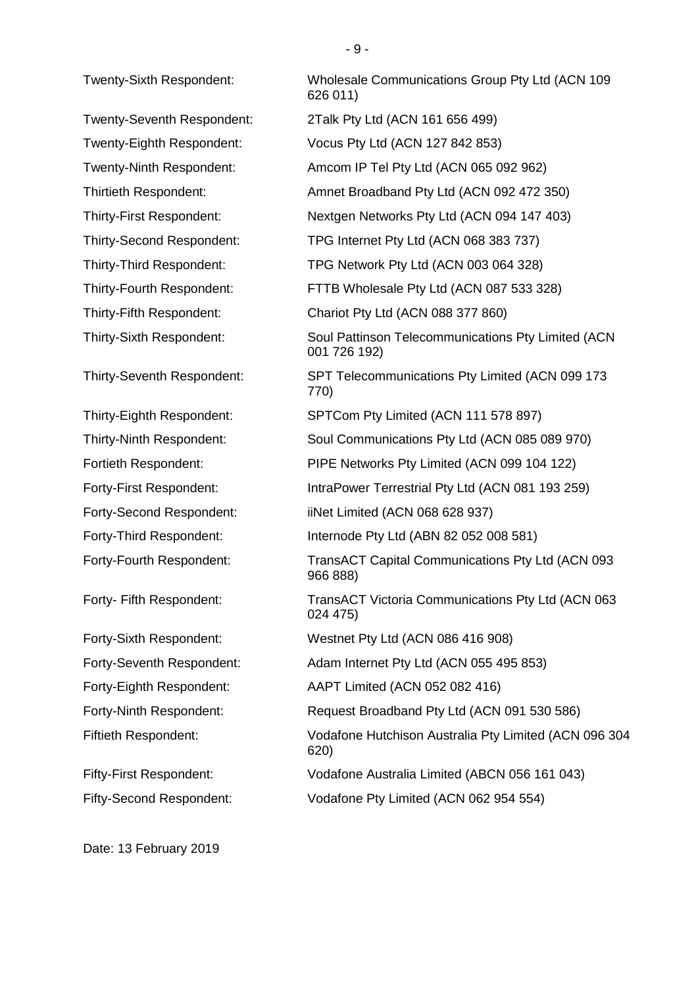Date: 13 February 2019

Twenty-Sixth Respondent: Wholesale Communications Group Pty Ltd (ACN 109 626 011) Twenty-Seventh Respondent: 2Talk Pty Ltd (ACN 161 656 499) Twenty-Eighth Respondent: Vocus Pty Ltd (ACN 127 842 853) Twenty-Ninth Respondent: Amcom IP Tel Pty Ltd (ACN 065 092 962) Thirtieth Respondent: Amnet Broadband Pty Ltd (ACN 092 472 350) Thirty-First Respondent: Nextgen Networks Pty Ltd (ACN 094 147 403) Thirty-Second Respondent: TPG Internet Pty Ltd (ACN 068 383 737) Thirty-Third Respondent: TPG Network Pty Ltd (ACN 003 064 328) Thirty-Fourth Respondent: FTTB Wholesale Pty Ltd (ACN 087 533 328) Thirty-Fifth Respondent: Chariot Pty Ltd (ACN 088 377 860) Thirty-Sixth Respondent: Soul Pattinson Telecommunications Pty Limited (ACN 001 726 192) Thirty-Seventh Respondent: SPT Telecommunications Pty Limited (ACN 099 173 770) Thirty-Eighth Respondent: SPTCom Pty Limited (ACN 111 578 897) Thirty-Ninth Respondent: Soul Communications Pty Ltd (ACN 085 089 970) Fortieth Respondent: PIPE Networks Pty Limited (ACN 099 104 122) Forty-First Respondent: IntraPower Terrestrial Pty Ltd (ACN 081 193 259) Forty-Second Respondent: iiNet Limited (ACN 068 628 937) Forty-Third Respondent: Internode Pty Ltd (ABN 82 052 008 581) Forty-Fourth Respondent: TransACT Capital Communications Pty Ltd (ACN 093 966 888) Forty- Fifth Respondent: TransACT Victoria Communications Pty Ltd (ACN 063 024 475) Forty-Sixth Respondent: Westnet Pty Ltd (ACN 086 416 908) Forty-Seventh Respondent: Adam Internet Pty Ltd (ACN 055 495 853) Forty-Eighth Respondent: AAPT Limited (ACN 052 082 416) Forty-Ninth Respondent: Request Broadband Pty Ltd (ACN 091 530 586) Fiftieth Respondent: Vodafone Hutchison Australia Pty Limited (ACN 096 304 620) Fifty-First Respondent: Vodafone Australia Limited (ABCN 056 161 043) Fifty-Second Respondent: Vodafone Pty Limited (ACN 062 954 554)